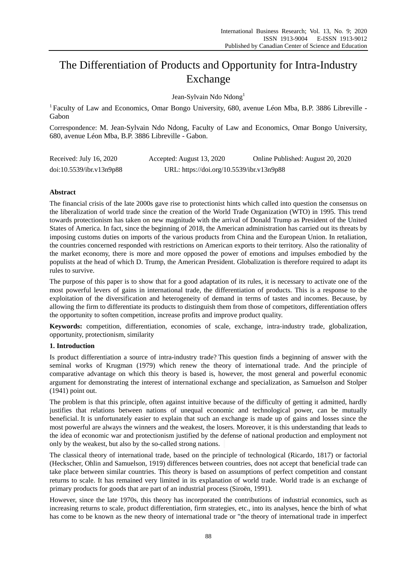# The Differentiation of Products and Opportunity for Intra-Industry Exchange

Jean-Sylvain Ndo Ndong<sup>1</sup>

<sup>1</sup> Faculty of Law and Economics, Omar Bongo University, 680, avenue L éon Mba, B.P. 3886 Libreville -Gabon

Correspondence: M. Jean-Sylvain Ndo Ndong, Faculty of Law and Economics, Omar Bongo University, 680, avenue Léon Mba, B.P. 3886 Libreville - Gabon.

| Received: July 16, 2020  | Accepted: August 13, 2020                 | Online Published: August 20, 2020 |
|--------------------------|-------------------------------------------|-----------------------------------|
| doi:10.5539/ibr.v13n9p88 | URL: https://doi.org/10.5539/ibr.v13n9p88 |                                   |

# **Abstract**

The financial crisis of the late 2000s gave rise to protectionist hints which called into question the consensus on the liberalization of world trade since the creation of the World Trade Organization (WTO) in 1995. This trend towards protectionism has taken on new magnitude with the arrival of Donald Trump as President of the United States of America. In fact, since the beginning of 2018, the American administration has carried out its threats by imposing customs duties on imports of the various products from China and the European Union. In retaliation, the countries concerned responded with restrictions on American exports to their territory. Also the rationality of the market economy, there is more and more opposed the power of emotions and impulses embodied by the populists at the head of which D. Trump, the American President. Globalization is therefore required to adapt its rules to survive.

The purpose of this paper is to show that for a good adaptation of its rules, it is necessary to activate one of the most powerful levers of gains in international trade, the differentiation of products. This is a response to the exploitation of the diversification and heterogeneity of demand in terms of tastes and incomes. Because, by allowing the firm to differentiate its products to distinguish them from those of competitors, differentiation offers the opportunity to soften competition, increase profits and improve product quality.

**Keywords:** competition, differentiation, economies of scale, exchange, intra-industry trade, globalization, opportunity, protectionism, similarity

# **1. Introduction**

Is product differentiation a source of intra-industry trade? This question finds a beginning of answer with the seminal works of Krugman (1979) which renew the theory of international trade. And the principle of comparative advantage on which this theory is based is, however, the most general and powerful economic argument for demonstrating the interest of international exchange and specialization, as Samuelson and Stolper (1941) point out.

The problem is that this principle, often against intuitive because of the difficulty of getting it admitted, hardly justifies that relations between nations of unequal economic and technological power, can be mutually beneficial. It is unfortunately easier to explain that such an exchange is made up of gains and losses since the most powerful are always the winners and the weakest, the losers. Moreover, it is this understanding that leads to the idea of economic war and protectionism justified by the defense of national production and employment not only by the weakest, but also by the so-called strong nations.

The classical theory of international trade, based on the principle of technological (Ricardo, 1817) or factorial (Heckscher, Ohlin and Samuelson, 1919) differences between countries, does not accept that beneficial trade can take place between similar countries. This theory is based on assumptions of perfect competition and constant returns to scale. It has remained very limited in its explanation of world trade. World trade is an exchange of primary products for goods that are part of an industrial process (Siroën, 1991).

However, since the late 1970s, this theory has incorporated the contributions of industrial economics, such as increasing returns to scale, product differentiation, firm strategies, etc., into its analyses, hence the birth of what has come to be known as the new theory of international trade or "the theory of international trade in imperfect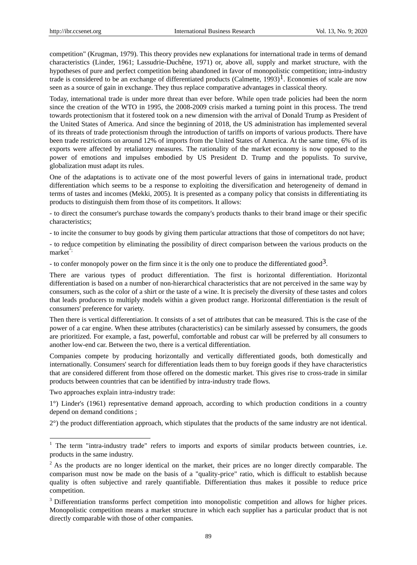competition" (Krugman, 1979). This theory provides new explanations for international trade in terms of demand characteristics (Linder, 1961; Lassudrie-Duchêne, 1971) or, above all, supply and market structure, with the hypotheses of pure and perfect competition being abandoned in favor of monopolistic competition; intra-industry trade is considered to be an exchange of differentiated products (Calmette, 1993)<sup>1</sup>. Economies of scale are now seen as a source of gain in exchange. They thus replace comparative advantages in classical theory.

Today, international trade is under more threat than ever before. While open trade policies had been the norm since the creation of the WTO in 1995, the 2008-2009 crisis marked a turning point in this process. The trend towards protectionism that it fostered took on a new dimension with the arrival of Donald Trump as President of the United States of America. And since the beginning of 2018, the US administration has implemented several of its threats of trade protectionism through the introduction of tariffs on imports of various products. There have been trade restrictions on around 12% of imports from the United States of America. At the same time, 6% of its exports were affected by retaliatory measures. The rationality of the market economy is now opposed to the power of emotions and impulses embodied by US President D. Trump and the populists. To survive, globalization must adapt its rules.

One of the adaptations is to activate one of the most powerful levers of gains in international trade, product differentiation which seems to be a response to exploiting the diversification and heterogeneity of demand in terms of tastes and incomes (Mekki, 2005). It is presented as a company policy that consists in differentiating its products to distinguish them from those of its competitors. It allows:

- to direct the consumer's purchase towards the company's products thanks to their brand image or their specific characteristics;

- to incite the consumer to buy goods by giving them particular attractions that those of competitors do not have;

- to reduce competition by eliminating the possibility of direct comparison between the various products on the  $\text{market}^2$ 

- to confer monopoly power on the firm since it is the only one to produce the differentiated good<sup>3</sup>.

There are various types of product differentiation. The first is horizontal differentiation. Horizontal differentiation is based on a number of non-hierarchical characteristics that are not perceived in the same way by consumers, such as the color of a shirt or the taste of a wine. It is precisely the diversity of these tastes and colors that leads producers to multiply models within a given product range. Horizontal differentiation is the result of consumers' preference for variety.

Then there is vertical differentiation. It consists of a set of attributes that can be measured. This is the case of the power of a car engine. When these attributes (characteristics) can be similarly assessed by consumers, the goods are prioritized. For example, a fast, powerful, comfortable and robust car will be preferred by all consumers to another low-end car. Between the two, there is a vertical differentiation.

Companies compete by producing horizontally and vertically differentiated goods, both domestically and internationally. Consumers' search for differentiation leads them to buy foreign goods if they have characteristics that are considered different from those offered on the domestic market. This gives rise to cross-trade in similar products between countries that can be identified by intra-industry trade flows.

Two approaches explain intra-industry trade:

-

1°) Linder's (1961) representative demand approach, according to which production conditions in a country depend on demand conditions ;

2°) the product differentiation approach, which stipulates that the products of the same industry are not identical.

 $1$  The term "intra-industry trade" refers to imports and exports of similar products between countries, i.e. products in the same industry.

<sup>&</sup>lt;sup>2</sup> As the products are no longer identical on the market, their prices are no longer directly comparable. The comparison must now be made on the basis of a "quality-price" ratio, which is difficult to establish because quality is often subjective and rarely quantifiable. Differentiation thus makes it possible to reduce price competition.

<sup>&</sup>lt;sup>3</sup> Differentiation transforms perfect competition into monopolistic competition and allows for higher prices. Monopolistic competition means a market structure in which each supplier has a particular product that is not directly comparable with those of other companies.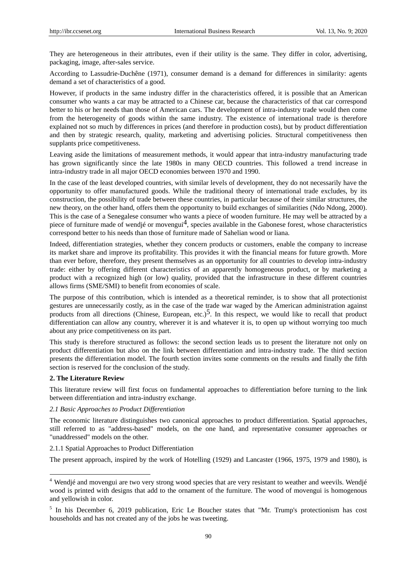They are heterogeneous in their attributes, even if their utility is the same. They differ in color, advertising, packaging, image, after-sales service.

According to Lassudrie-Duchêne (1971), consumer demand is a demand for differences in similarity: agents demand a set of characteristics of a good.

However, if products in the same industry differ in the characteristics offered, it is possible that an American consumer who wants a car may be attracted to a Chinese car, because the characteristics of that car correspond better to his or her needs than those of American cars. The development of intra-industry trade would then come from the heterogeneity of goods within the same industry. The existence of international trade is therefore explained not so much by differences in prices (and therefore in production costs), but by product differentiation and then by strategic research, quality, marketing and advertising policies. Structural competitiveness then supplants price competitiveness.

Leaving aside the limitations of measurement methods, it would appear that intra-industry manufacturing trade has grown significantly since the late 1980s in many OECD countries. This followed a trend increase in intra-industry trade in all major OECD economies between 1970 and 1990.

In the case of the least developed countries, with similar levels of development, they do not necessarily have the opportunity to offer manufactured goods. While the traditional theory of international trade excludes, by its construction, the possibility of trade between these countries, in particular because of their similar structures, the new theory, on the other hand, offers them the opportunity to build exchanges of similarities (Ndo Ndong, 2000). This is the case of a Senegalese consumer who wants a piece of wooden furniture. He may well be attracted by a piece of furniture made of wendj  $\acute{\text{e}}$  or movengui<sup>4</sup>, species available in the Gabonese forest, whose characteristics correspond better to his needs than those of furniture made of Sahelian wood or liana.

Indeed, differentiation strategies, whether they concern products or customers, enable the company to increase its market share and improve its profitability. This provides it with the financial means for future growth. More than ever before, therefore, they present themselves as an opportunity for all countries to develop intra-industry trade: either by offering different characteristics of an apparently homogeneous product, or by marketing a product with a recognized high (or low) quality, provided that the infrastructure in these different countries allows firms (SME/SMI) to benefit from economies of scale.

The purpose of this contribution, which is intended as a theoretical reminder, is to show that all protectionist gestures are unnecessarily costly, as in the case of the trade war waged by the American administration against products from all directions (Chinese, European, etc.)<sup>5</sup>. In this respect, we would like to recall that product differentiation can allow any country, wherever it is and whatever it is, to open up without worrying too much about any price competitiveness on its part.

This study is therefore structured as follows: the second section leads us to present the literature not only on product differentiation but also on the link between differentiation and intra-industry trade. The third section presents the differentiation model. The fourth section invites some comments on the results and finally the fifth section is reserved for the conclusion of the study.

#### **2. The Literature Review**

-

This literature review will first focus on fundamental approaches to differentiation before turning to the link between differentiation and intra-industry exchange.

#### *2.1 Basic Approaches to Product Differentiation*

The economic literature distinguishes two canonical approaches to product differentiation. Spatial approaches, still referred to as "address-based" models, on the one hand, and representative consumer approaches or "unaddressed" models on the other.

## 2.1.1 Spatial Approaches to Product Differentiation

The present approach, inspired by the work of Hotelling (1929) and Lancaster (1966, 1975, 1979 and 1980), is

<sup>&</sup>lt;sup>4</sup> Wendi é and movengui are two very strong wood species that are very resistant to weather and weevils. Wendi é wood is printed with designs that add to the ornament of the furniture. The wood of movengui is homogenous and yellowish in color.

<sup>&</sup>lt;sup>5</sup> In his December 6, 2019 publication, Eric Le Boucher states that "Mr. Trump's protectionism has cost households and has not created any of the jobs he was tweeting.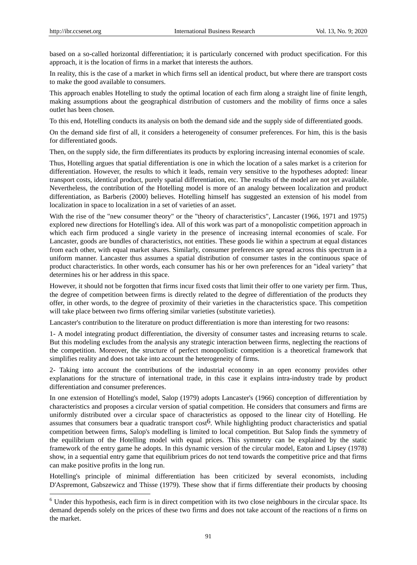-

based on a so-called horizontal differentiation; it is particularly concerned with product specification. For this approach, it is the location of firms in a market that interests the authors.

In reality, this is the case of a market in which firms sell an identical product, but where there are transport costs to make the good available to consumers.

This approach enables Hotelling to study the optimal location of each firm along a straight line of finite length, making assumptions about the geographical distribution of customers and the mobility of firms once a sales outlet has been chosen.

To this end, Hotelling conducts its analysis on both the demand side and the supply side of differentiated goods.

On the demand side first of all, it considers a heterogeneity of consumer preferences. For him, this is the basis for differentiated goods.

Then, on the supply side, the firm differentiates its products by exploring increasing internal economies of scale.

Thus, Hotelling argues that spatial differentiation is one in which the location of a sales market is a criterion for differentiation. However, the results to which it leads, remain very sensitive to the hypotheses adopted: linear transport costs, identical product, purely spatial differentiation, etc. The results of the model are not yet available. Nevertheless, the contribution of the Hotelling model is more of an analogy between localization and product differentiation, as Barberis (2000) believes. Hotelling himself has suggested an extension of his model from localization in space to localization in a set of varieties of an asset.

With the rise of the "new consumer theory" or the "theory of characteristics", Lancaster (1966, 1971 and 1975) explored new directions for Hotelling's idea. All of this work was part of a monopolistic competition approach in which each firm produced a single variety in the presence of increasing internal economies of scale. For Lancaster, goods are bundles of characteristics, not entities. These goods lie within a spectrum at equal distances from each other, with equal market shares. Similarly, consumer preferences are spread across this spectrum in a uniform manner. Lancaster thus assumes a spatial distribution of consumer tastes in the continuous space of product characteristics. In other words, each consumer has his or her own preferences for an "ideal variety" that determines his or her address in this space.

However, it should not be forgotten that firms incur fixed costs that limit their offer to one variety per firm. Thus, the degree of competition between firms is directly related to the degree of differentiation of the products they offer, in other words, to the degree of proximity of their varieties in the characteristics space. This competition will take place between two firms offering similar varieties (substitute varieties).

Lancaster's contribution to the literature on product differentiation is more than interesting for two reasons:

1- A model integrating product differentiation, the diversity of consumer tastes and increasing returns to scale. But this modeling excludes from the analysis any strategic interaction between firms, neglecting the reactions of the competition. Moreover, the structure of perfect monopolistic competition is a theoretical framework that simplifies reality and does not take into account the heterogeneity of firms.

2- Taking into account the contributions of the industrial economy in an open economy provides other explanations for the structure of international trade, in this case it explains intra-industry trade by product differentiation and consumer preferences.

In one extension of Hotelling's model, Salop (1979) adopts Lancaster's (1966) conception of differentiation by characteristics and proposes a circular version of spatial competition. He considers that consumers and firms are uniformly distributed over a circular space of characteristics as opposed to the linear city of Hotelling. He assumes that consumers bear a quadratic transport cost6. While highlighting product characteristics and spatial competition between firms, Salop's modelling is limited to local competition. But Salop finds the symmetry of the equilibrium of the Hotelling model with equal prices. This symmetry can be explained by the static framework of the entry game he adopts. In this dynamic version of the circular model, Eaton and Lipsey (1978) show, in a sequential entry game that equilibrium prices do not tend towards the competitive price and that firms can make positive profits in the long run.

Hotelling's principle of minimal differentiation has been criticized by several economists, including D'Aspremont, Gabszewicz and Thisse (1979). These show that if firms differentiate their products by choosing

<sup>&</sup>lt;sup>6</sup> Under this hypothesis, each firm is in direct competition with its two close neighbours in the circular space. Its demand depends solely on the prices of these two firms and does not take account of the reactions of n firms on the market.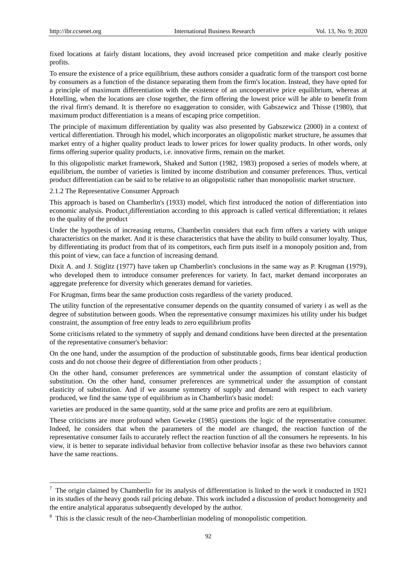-

fixed locations at fairly distant locations, they avoid increased price competition and make clearly positive profits.

To ensure the existence of a price equilibrium, these authors consider a quadratic form of the transport cost borne by consumers as a function of the distance separating them from the firm's location. Instead, they have opted for a principle of maximum differentiation with the existence of an uncooperative price equilibrium, whereas at Hotelling, when the locations are close together, the firm offering the lowest price will be able to benefit from the rival firm's demand. It is therefore no exaggeration to consider, with Gabszewicz and Thisse (1980), that maximum product differentiation is a means of escaping price competition.

The principle of maximum differentiation by quality was also presented by Gabszewicz (2000) in a context of vertical differentiation. Through his model, which incorporates an oligopolistic market structure, he assumes that market entry of a higher quality product leads to lower prices for lower quality products. In other words, only firms offering superior quality products, i.e. innovative firms, remain on the market.

In this oligopolistic market framework, Shaked and Sutton (1982, 1983) proposed a series of models where, at equilibrium, the number of varieties is limited by income distribution and consumer preferences. Thus, vertical product differentiation can be said to be relative to an oligopolistic rather than monopolistic market structure.

2.1.2 The Representative Consumer Approach

This approach is based on Chamberlin's (1933) model, which first introduced the notion of differentiation into economic analysis. Product differentiation according to this approach is called vertical differentiation; it relates to the quality of the product

Under the hypothesis of increasing returns, Chamberlin considers that each firm offers a variety with unique characteristics on the market. And it is these characteristics that have the ability to build consumer loyalty. Thus, by differentiating its product from that of its competitors, each firm puts itself in a monopoly position and, from this point of view, can face a function of increasing demand.

Dixit A. and J. Stiglitz (1977) have taken up Chamberlin's conclusions in the same way as P. Krugman (1979), who developed them to introduce consumer preferences for variety. In fact, market demand incorporates an aggregate preference for diversity which generates demand for varieties.

For Krugman, firms bear the same production costs regardless of the variety produced.

The utility function of the representative consumer depends on the quantity consumed of variety i as well as the degree of substitution between goods. When the representative consumer maximizes his utility under his budget constraint, the assumption of free entry leads to zero equilibrium profits

Some criticisms related to the symmetry of supply and demand conditions have been directed at the presentation of the representative consumer's behavior:

On the one hand, under the assumption of the production of substitutable goods, firms bear identical production costs and do not choose their degree of differentiation from other products ;

On the other hand, consumer preferences are symmetrical under the assumption of constant elasticity of substitution. On the other hand, consumer preferences are symmetrical under the assumption of constant elasticity of substitution. And if we assume symmetry of supply and demand with respect to each variety produced, we find the same type of equilibrium as in Chamberlin's basic model:

varieties are produced in the same quantity, sold at the same price and profits are zero at equilibrium.

These criticisms are more profound when Geweke (1985) questions the logic of the representative consumer. Indeed, he considers that when the parameters of the model are changed, the reaction function of the representative consumer fails to accurately reflect the reaction function of all the consumers he represents. In his view, it is better to separate individual behavior from collective behavior insofar as these two behaviors cannot have the same reactions.

 $<sup>7</sup>$  The origin claimed by Chamberlin for its analysis of differentiation is linked to the work it conducted in 1921</sup> in its studies of the heavy goods rail pricing debate. This work included a discussion of product homogeneity and the entire analytical apparatus subsequently developed by the author.

<sup>&</sup>lt;sup>8</sup> This is the classic result of the neo-Chamberlinian modeling of monopolistic competition.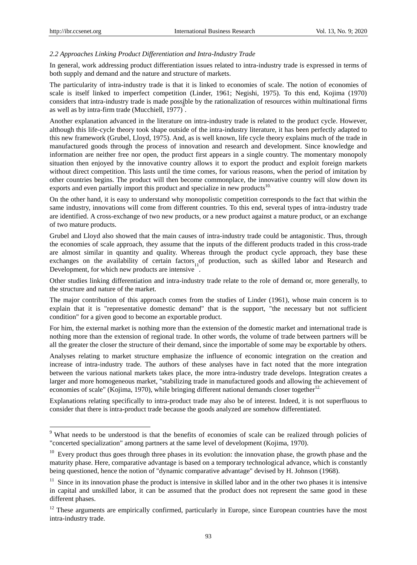-

## *2.2 Approaches Linking Product Differentiation and Intra-Industry Trade*

In general, work addressing product differentiation issues related to intra-industry trade is expressed in terms of both supply and demand and the nature and structure of markets.

The particularity of intra-industry trade is that it is linked to economies of scale. The notion of economies of scale is itself linked to imperfect competition (Linder, 1961; Negishi, 1975). To this end, Kojima (1970) considers that intra-industry trade is made possible by the rationalization of resources within multinational firms as well as by intra-firm trade (Mucchiell,  $1977$ ).

Another explanation advanced in the literature on intra-industry trade is related to the product cycle. However, although this life-cycle theory took shape outside of the intra-industry literature, it has been perfectly adapted to this new framework (Grubel, Lloyd, 1975). And, as is well known, life cycle theory explains much of the trade in manufactured goods through the process of innovation and research and development. Since knowledge and information are neither free nor open, the product first appears in a single country. The momentary monopoly situation then enjoyed by the innovative country allows it to export the product and exploit foreign markets without direct competition. This lasts until the time comes, for various reasons, when the period of imitation by other countries begins. The product will then become commonplace, the innovative country will slow down its exports and even partially import this product and specialize in new products $10$ .

On the other hand, it is easy to understand why monopolistic competition corresponds to the fact that within the same industry, innovations will come from different countries. To this end, several types of intra-industry trade are identified. A cross-exchange of two new products, or a new product against a mature product, or an exchange of two mature products.

Grubel and Lloyd also showed that the main causes of intra-industry trade could be antagonistic. Thus, through the economies of scale approach, they assume that the inputs of the different products traded in this cross-trade are almost similar in quantity and quality. Whereas through the product cycle approach, they base these exchanges on the availability of certain factors of production, such as skilled labor and Research and Development, for which new products are intensive.

Other studies linking differentiation and intra-industry trade relate to the role of demand or, more generally, to the structure and nature of the market.

The major contribution of this approach comes from the studies of Linder (1961), whose main concern is to explain that it is "representative domestic demand" that is the support, "the necessary but not sufficient condition" for a given good to become an exportable product.

For him, the external market is nothing more than the extension of the domestic market and international trade is nothing more than the extension of regional trade. In other words, the volume of trade between partners will be all the greater the closer the structure of their demand, since the importable of some may be exportable by others.

Analyses relating to market structure emphasize the influence of economic integration on the creation and increase of intra-industry trade. The authors of these analyses have in fact noted that the more integration between the various national markets takes place, the more intra-industry trade develops. Integration creates a larger and more homogeneous market, "stabilizing trade in manufactured goods and allowing the achievement of economies of scale" (Kojima, 1970), while bringing different national demands closer together<sup>12.</sup>

Explanations relating specifically to intra-product trade may also be of interest. Indeed, it is not superfluous to consider that there is intra-product trade because the goods analyzed are somehow differentiated.

<sup>&</sup>lt;sup>9</sup> What needs to be understood is that the benefits of economies of scale can be realized through policies of "concerted specialization" among partners at the same level of development (Kojima, 1970).

<sup>&</sup>lt;sup>10</sup> Every product thus goes through three phases in its evolution: the innovation phase, the growth phase and the maturity phase. Here, comparative advantage is based on a temporary technological advance, which is constantly being questioned, hence the notion of "dynamic comparative advantage" devised by H. Johnson (1968).

 $11$  Since in its innovation phase the product is intensive in skilled labor and in the other two phases it is intensive in capital and unskilled labor, it can be assumed that the product does not represent the same good in these different phases.

<sup>&</sup>lt;sup>12</sup> These arguments are empirically confirmed, particularly in Europe, since European countries have the most intra-industry trade.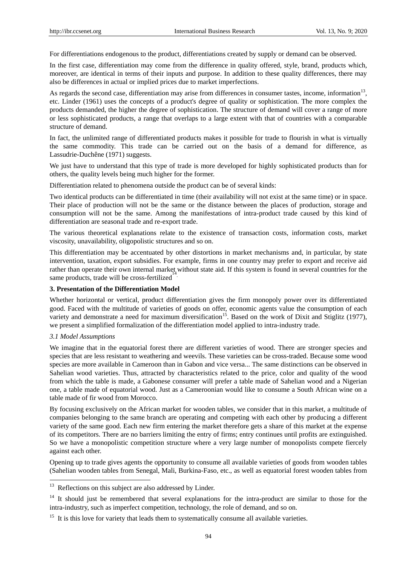For differentiations endogenous to the product, differentiations created by supply or demand can be observed.

In the first case, differentiation may come from the difference in quality offered, style, brand, products which, moreover, are identical in terms of their inputs and purpose. In addition to these quality differences, there may also be differences in actual or implied prices due to market imperfections.

As regards the second case, differentiation may arise from differences in consumer tastes, income, information $13$ , etc. Linder (1961) uses the concepts of a product's degree of quality or sophistication. The more complex the products demanded, the higher the degree of sophistication. The structure of demand will cover a range of more or less sophisticated products, a range that overlaps to a large extent with that of countries with a comparable structure of demand.

In fact, the unlimited range of differentiated products makes it possible for trade to flourish in what is virtually the same commodity. This trade can be carried out on the basis of a demand for difference, as Lassudrie-Duch êne (1971) suggests.

We just have to understand that this type of trade is more developed for highly sophisticated products than for others, the quality levels being much higher for the former.

Differentiation related to phenomena outside the product can be of several kinds:

Two identical products can be differentiated in time (their availability will not exist at the same time) or in space. Their place of production will not be the same or the distance between the places of production, storage and consumption will not be the same. Among the manifestations of intra-product trade caused by this kind of differentiation are seasonal trade and re-export trade.

The various theoretical explanations relate to the existence of transaction costs, information costs, market viscosity, unavailability, oligopolistic structures and so on.

This differentiation may be accentuated by other distortions in market mechanisms and, in particular, by state intervention, taxation, export subsidies. For example, firms in one country may prefer to export and receive aid rather than operate their own internal market without state aid. If this system is found in several countries for the same products, trade will be cross-fertilized .

### **3. Presentation of the Differentiation Model**

Whether horizontal or vertical, product differentiation gives the firm monopoly power over its differentiated good. Faced with the multitude of varieties of goods on offer, economic agents value the consumption of each variety and demonstrate a need for maximum diversification<sup>15</sup>. Based on the work of Dixit and Stiglitz (1977), we present a simplified formalization of the differentiation model applied to intra-industry trade.

#### *3.1 Model Assumptions*

-

We imagine that in the equatorial forest there are different varieties of wood. There are stronger species and species that are less resistant to weathering and weevils. These varieties can be cross-traded. Because some wood species are more available in Cameroon than in Gabon and vice versa... The same distinctions can be observed in Sahelian wood varieties. Thus, attracted by characteristics related to the price, color and quality of the wood from which the table is made, a Gabonese consumer will prefer a table made of Sahelian wood and a Nigerian one, a table made of equatorial wood. Just as a Cameroonian would like to consume a South African wine on a table made of fir wood from Morocco.

By focusing exclusively on the African market for wooden tables, we consider that in this market, a multitude of companies belonging to the same branch are operating and competing with each other by producing a different variety of the same good. Each new firm entering the market therefore gets a share of this market at the expense of its competitors. There are no barriers limiting the entry of firms; entry continues until profits are extinguished. So we have a monopolistic competition structure where a very large number of monopolists compete fiercely against each other.

Opening up to trade gives agents the opportunity to consume all available varieties of goods from wooden tables (Sahelian wooden tables from Senegal, Mali, Burkina-Faso, etc., as well as equatorial forest wooden tables from

<sup>&</sup>lt;sup>13</sup> Reflections on this subject are also addressed by Linder.

<sup>&</sup>lt;sup>14</sup> It should just be remembered that several explanations for the intra-product are similar to those for the intra-industry, such as imperfect competition, technology, the role of demand, and so on.

<sup>&</sup>lt;sup>15</sup> It is this love for variety that leads them to systematically consume all available varieties.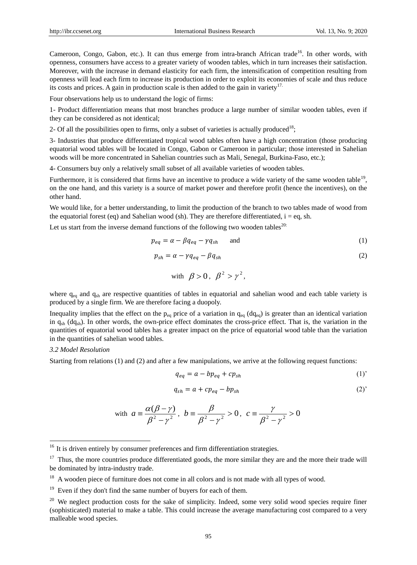Cameroon, Congo, Gabon, etc.). It can thus emerge from intra-branch African trade<sup>16</sup>. In other words, with openness, consumers have access to a greater variety of wooden tables, which in turn increases their satisfaction. Moreover, with the increase in demand elasticity for each firm, the intensification of competition resulting from openness will lead each firm to increase its production in order to exploit its economies of scale and thus reduce its costs and prices. A gain in production scale is then added to the gain in variety<sup>17.</sup>

Four observations help us to understand the logic of firms:

1- Product differentiation means that most branches produce a large number of similar wooden tables, even if they can be considered as not identical;

2- Of all the possibilities open to firms, only a subset of varieties is actually produced<sup>18</sup>;

3- Industries that produce differentiated tropical wood tables often have a high concentration (those producing equatorial wood tables will be located in Congo, Gabon or Cameroon in particular; those interested in Sahelian woods will be more concentrated in Sahelian countries such as Mali, Senegal, Burkina-Faso, etc.);

4- Consumers buy only a relatively small subset of all available varieties of wooden tables.

Furthermore, it is considered that firms have an incentive to produce a wide variety of the same wooden table<sup>19</sup>, on the one hand, and this variety is a source of market power and therefore profit (hence the incentives), on the other hand.

We would like, for a better understanding, to limit the production of the branch to two tables made of wood from the equatorial forest (eq) and Sahelian wood (sh). They are therefore differentiated,  $i = eq$ , sh.

Let us start from the inverse demand functions of the following two wooden tables<sup>20:</sup>

$$
p_{eq} = \alpha - \beta q_{eq} - \gamma q_{sh} \qquad \text{and} \tag{1}
$$

$$
p_{sh} = \alpha - \gamma q_{eq} - \beta q_{sh} \tag{2}
$$

with 
$$
\beta > 0
$$
,  $\beta^2 > \gamma^2$ ,

where  $q_{eq}$  and  $q_{sh}$  are respective quantities of tables in equatorial and sahelian wood and each table variety is produced by a single firm. We are therefore facing a duopoly.

Inequality implies that the effect on the p<sub>eq</sub> price of a variation in  $q_{eq}$  (d $q_{eq}$ ) is greater than an identical variation in  $q_{sh}$  (dq<sub>sh</sub>). In other words, the own-price effect dominates the cross-price effect. That is, the variation in the quantities of equatorial wood tables has a greater impact on the price of equatorial wood table than the variation in the quantities of sahelian wood tables.

#### *3.2 Model Resolution*

-

Starting from relations (1) and (2) and after a few manipulations, we arrive at the following request functions:

$$
q_{eq} = a - bp_{eq} + cp_{sh} \tag{1'}
$$

$$
q_{sh} = a + cp_{eq} - bp_{sh} \tag{2'}
$$

with 
$$
a = \frac{\alpha(\beta - \gamma)}{\beta^2 - \gamma^2}
$$
,  $b = \frac{\beta}{\beta^2 - \gamma^2} > 0$ ,  $c = \frac{\gamma}{\beta^2 - \gamma^2} > 0$ 

 $16$  It is driven entirely by consumer preferences and firm differentiation strategies.

 $17$  Thus, the more countries produce differentiated goods, the more similar they are and the more their trade will be dominated by intra-industry trade.

<sup>&</sup>lt;sup>18</sup> A wooden piece of furniture does not come in all colors and is not made with all types of wood.

 $19$  Even if they don't find the same number of buyers for each of them.

 $20$  We neglect production costs for the sake of simplicity. Indeed, some very solid wood species require finer (sophisticated) material to make a table. This could increase the average manufacturing cost compared to a very malleable wood species.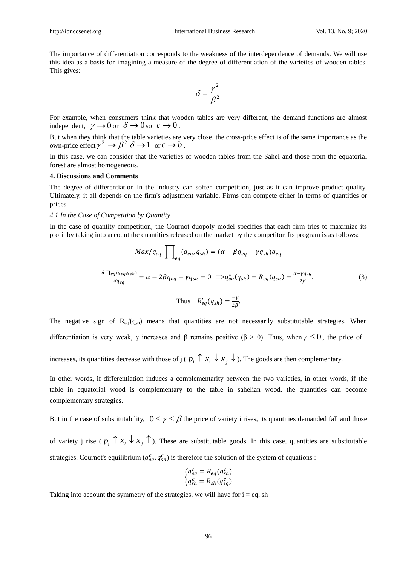The importance of differentiation corresponds to the weakness of the interdependence of demands. We will use this idea as a basis for imagining a measure of the degree of differentiation of the varieties of wooden tables. This gives:

$$
\delta = \frac{\gamma^2}{\beta^2}
$$

For example, when consumers think that wooden tables are very different, the demand functions are almost independent,  $\gamma \to 0$  or  $\delta \to 0$  so  $c \to 0$ .

But when they think that the table varieties are very close, the cross-price effect is of the same importance as the own-price effect  $\gamma^2 \to \beta^2 \delta \to 1$  or  $c \to b$ .

In this case, we can consider that the varieties of wooden tables from the Sahel and those from the equatorial forest are almost homogeneous.

#### **4. Discussions and Comments**

The degree of differentiation in the industry can soften competition, just as it can improve product quality. Ultimately, it all depends on the firm's adjustment variable. Firms can compete either in terms of quantities or prices.

#### *4.1 In the Case of Competition by Quantity*

In the case of quantity competition, the Cournot duopoly model specifies that each firm tries to maximize its profit by taking into account the quantities released on the market by the competitor. Its program is as follows:

$$
Max/q_{eq} \prod_{eq}(q_{eq}, q_{sh}) = (\alpha - \beta q_{eq} - \gamma q_{sh})q_{eq}
$$
  

$$
\frac{\delta \left[ e_q(q_{eq}, q_{sh}) \right]}{\delta q_{eq}} = \alpha - 2\beta q_{eq} - \gamma q_{sh} = 0 \implies q_{eq}^*(q_{sh}) = R_{eq}(q_{sh}) = \frac{\alpha - \gamma q_{sh}}{2\beta}.
$$
  
Thus 
$$
R'_{eq}(q_{sh}) = \frac{-\gamma}{2\beta}.
$$
 (3)

The negative sign of  $R_{eq}(q_{sh})$  means that quantities are not necessarily substitutable strategies. When differentiation is very weak,  $\gamma$  increases and  $\beta$  remains positive ( $\beta > 0$ ). Thus, when  $\gamma \le 0$ , the price of i

increases, its quantities decrease with those of j ( $p_i \uparrow x_i \downarrow x_j \downarrow$ ). The goods are then complementary.

In other words, if differentiation induces a complementarity between the two varieties, in other words, if the table in equatorial wood is complementary to the table in sahelian wood, the quantities can become complementary strategies.

But in the case of substitutability,  $0 \le \gamma \le \beta$  the price of variety i rises, its quantities demanded fall and those of variety j rise ( $p_i \uparrow x_i \downarrow x_j \uparrow$ ). These are substitutable goods. In this case, quantities are substitutable strategies. Cournot's equilibrium ( $q_{eq}^c$ ,  $q_{sh}^c$ ) is therefore the solution of the system of equations :

$$
\begin{cases} q_{eq}^c = R_{eq}(q_{sh}^c) \\ q_{sh}^c = R_{sh}(q_{eq}^c) \end{cases}
$$

Taking into account the symmetry of the strategies, we will have for  $i = eq$ , sh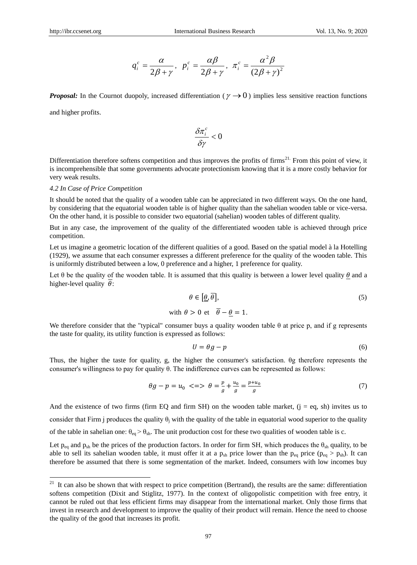$$
q_i^c = \frac{\alpha}{2\beta + \gamma}, \ \ p_i^c = \frac{\alpha\beta}{2\beta + \gamma}, \ \pi_i^c = \frac{\alpha^2\beta}{(2\beta + \gamma)^2}
$$

*Proposal:* In the Cournot duopoly, increased differentiation ( $\gamma \rightarrow 0$ ) implies less sensitive reaction functions

and higher profits.

-

$$
\frac{\delta \pi_i^c}{\delta \gamma} < 0
$$

Differentiation therefore softens competition and thus improves the profits of firms<sup>21.</sup> From this point of view, it is incomprehensible that some governments advocate protectionism knowing that it is a more costly behavior for very weak results.

## *4.2 In Case of Price Competition*

It should be noted that the quality of a wooden table can be appreciated in two different ways. On the one hand, by considering that the equatorial wooden table is of higher quality than the sahelian wooden table or vice-versa. On the other hand, it is possible to consider two equatorial (sahelian) wooden tables of different quality.

But in any case, the improvement of the quality of the differentiated wooden table is achieved through price competition.

Let us imagine a geometric location of the different qualities of a good. Based on the spatial model à la Hotelling (1929), we assume that each consumer expresses a different preference for the quality of the wooden table. This is uniformly distributed between a low, 0 preference and a higher, 1 preference for quality.

Let  $\theta$  be the quality of the wooden table. It is assumed that this quality is between a lower level quality  $\theta$  and a higher-level quality  $\overline{\theta}$ :

$$
\theta \in [\underline{\theta}, \overline{\theta}],
$$
  
\nwith  $\theta > 0$  et  $\overline{\theta} - \underline{\theta} = 1.$  (5)

We therefore consider that the "typical" consumer buys a quality wooden table  $\theta$  at price p, and if g represents the taste for quality, its utility function is expressed as follows:

$$
U = \theta g - p \tag{6}
$$

Thus, the higher the taste for quality, g, the higher the consumer's satisfaction. θg therefore represents the consumer's willingness to pay for quality θ. The indifference curves can be represented as follows:

$$
\theta g - p = u_0 \iff \theta = \frac{p}{g} + \frac{u_0}{g} = \frac{p + u_0}{g} \tag{7}
$$

And the existence of two firms (firm EQ and firm SH) on the wooden table market,  $(i = eq, sh)$  invites us to consider that Firm j produces the quality  $\theta_i$  with the quality of the table in equatorial wood superior to the quality of the table in sahelian one:  $\theta_{eq} > \theta_{sh}$ . The unit production cost for these two qualities of wooden table is c.

Let  $p_{eq}$  and  $p_{sh}$  be the prices of the production factors. In order for firm SH, which produces the  $\theta_{sh}$  quality, to be able to sell its sahelian wooden table, it must offer it at a  $p_{sh}$  price lower than the  $p_{eq}$  price ( $p_{eq} > p_{sh}$ ). It can therefore be assumed that there is some segmentation of the market. Indeed, consumers with low incomes buy

 $21$  It can also be shown that with respect to price competition (Bertrand), the results are the same: differentiation softens competition (Dixit and Stiglitz, 1977). In the context of oligopolistic competition with free entry, it cannot be ruled out that less efficient firms may disappear from the international market. Only those firms that invest in research and development to improve the quality of their product will remain. Hence the need to choose the quality of the good that increases its profit.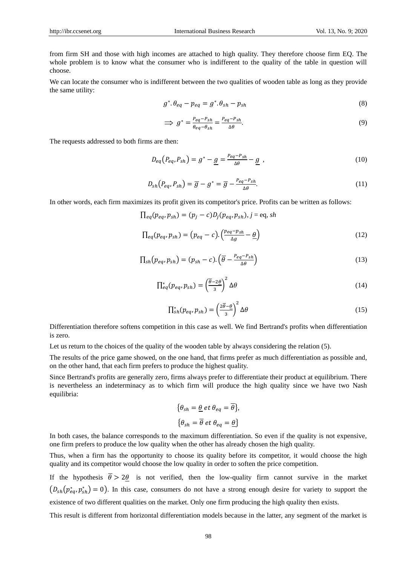from firm SH and those with high incomes are attached to high quality. They therefore choose firm EQ. The whole problem is to know what the consumer who is indifferent to the quality of the table in question will choose.

We can locate the consumer who is indifferent between the two qualities of wooden table as long as they provide the same utility:

$$
g^* \theta_{eq} - p_{eq} = g^* \theta_{sh} - p_{sh} \tag{8}
$$

$$
\implies g^* = \frac{P_{eq} - P_{sh}}{\theta_{eq} - \theta_{sh}} = \frac{P_{eq} - P_{sh}}{\Delta \theta}.
$$
\n(9)

The requests addressed to both firms are then:

$$
D_{eq}(P_{eq}, P_{sh}) = g^* - \underline{g} = \frac{P_{eq} - P_{sh}}{\Delta \theta} - \underline{g} \tag{10}
$$

$$
D_{sh}(P_{eq}, P_{sh}) = \overline{g} - g^* = \overline{g} - \frac{P_{eq} - P_{sh}}{\Delta \theta}.
$$
\n(11)

In other words, each firm maximizes its profit given its competitor's price. Profits can be written as follows:

$$
\prod_{eq}(p_{eq},p_{sh})=(p_j-c)D_j(p_{eq},p_{sh}), j=eq, sh
$$

$$
\Pi_{eq}(p_{eq}, p_{sh}) = (p_{eq} - c) \cdot \left(\frac{p_{eq} - p_{sh}}{\Delta g} - \underline{\theta}\right)
$$
\n(12)

$$
\Pi_{sh}(p_{eq}, p_{sh}) = (p_{sh} - c) \cdot \left(\overline{\theta} - \frac{P_{eq} - P_{sh}}{\Delta \theta}\right)
$$
\n(13)

$$
\Pi_{eq}^*(p_{eq}, p_{sh}) = \left(\frac{\overline{\theta} - 2\underline{\theta}}{3}\right)^2 \Delta \theta \tag{14}
$$

$$
\prod_{sh}^{*}(p_{eq}, p_{sh}) = \left(\frac{2\overline{\theta} - \underline{\theta}}{3}\right)^2 \Delta \theta \tag{15}
$$

Differentiation therefore softens competition in this case as well. We find Bertrand's profits when differentiation is zero.

Let us return to the choices of the quality of the wooden table by always considering the relation (5).

The results of the price game showed, on the one hand, that firms prefer as much differentiation as possible and, on the other hand, that each firm prefers to produce the highest quality.

Since Bertrand's profits are generally zero, firms always prefer to differentiate their product at equilibrium. There is nevertheless an indeterminacy as to which firm will produce the high quality since we have two Nash equilibria:

$$
\{\theta_{sh} = \underline{\theta} \text{ et } \theta_{eq} = \overline{\theta}\},
$$

$$
\{\theta_{sh} = \overline{\theta} \text{ et } \theta_{eq} = \underline{\theta}\}
$$

In both cases, the balance corresponds to the maximum differentiation. So even if the quality is not expensive, one firm prefers to produce the low quality when the other has already chosen the high quality.

Thus, when a firm has the opportunity to choose its quality before its competitor, it would choose the high quality and its competitor would choose the low quality in order to soften the price competition.

If the hypothesis  $\overline{\theta} > 2\theta$  is not verified, then the low-quality firm cannot survive in the market  $(D_{sh}(p_{eq}^*, p_{sh}^*) = 0)$ . In this case, consumers do not have a strong enough desire for variety to support the existence of two different qualities on the market. Only one firm producing the high quality then exists.

This result is different from horizontal differentiation models because in the latter, any segment of the market is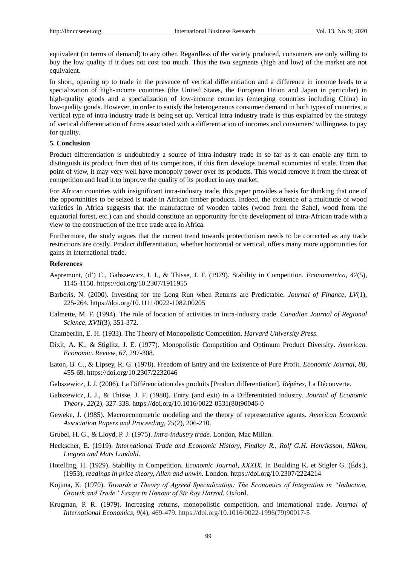equivalent (in terms of demand) to any other. Regardless of the variety produced, consumers are only willing to buy the low quality if it does not cost too much. Thus the two segments (high and low) of the market are not equivalent.

In short, opening up to trade in the presence of vertical differentiation and a difference in income leads to a specialization of high-income countries (the United States, the European Union and Japan in particular) in high-quality goods and a specialization of low-income countries (emerging countries including China) in low-quality goods. However, in order to satisfy the heterogeneous consumer demand in both types of countries, a vertical type of intra-industry trade is being set up. Vertical intra-industry trade is thus explained by the strategy of vertical differentiation of firms associated with a differentiation of incomes and consumers' willingness to pay for quality.

# **5. Conclusion**

Product differentiation is undoubtedly a source of intra-industry trade in so far as it can enable any firm to distinguish its product from that of its competitors, if this firm develops internal economies of scale. From that point of view, it may very well have monopoly power over its products. This would remove it from the threat of competition and lead it to improve the quality of its product in any market.

For African countries with insignificant intra-industry trade, this paper provides a basis for thinking that one of the opportunities to be seized is trade in African timber products. Indeed, the existence of a multitude of wood varieties in Africa suggests that the manufacture of wooden tables (wood from the Sahel, wood from the equatorial forest, etc.) can and should constitute an opportunity for the development of intra-African trade with a view to the construction of the free trade area in Africa.

Furthermore, the study argues that the current trend towards protectionism needs to be corrected as any trade restrictions are costly. Product differentiation, whether horizontal or vertical, offers many more opportunities for gains in international trade.

#### **References**

- Aspremont, (d') C., Gabszewicz, J. J., & Thisse, J. F. (1979). Stability in Competition. *Econometrica*, *47*(5), 1145-1150. https://doi.org/10.2307/1911955
- Barberis, N. (2000). Investing for the Long Run when Returns are Predictable. *Journal of Finance*, *LV*(1), 225-264. https://doi.org/10.1111/0022-1082.00205
- Calmette, M. F. (1994). The role of location of activities in intra-industry trade. *Canadian Journal of Regional Science, XVII*(3), 351-372.
- Chamberlin, E. H. (1933). The Theory of Monopolistic Competition. *Harvard University Press*.
- Dixit, A. K., & Stiglitz, J. E. (1977). Monopolistic Competition and Optimum Product Diversity. *American. Economic. Review*, *67,* 297-308.
- Eaton, B. C., & Lipsey, R. G. (1978). Freedom of Entry and the Existence of Pure Profit. *Economic Journal*, *88,*  455-69. https://doi.org/10.2307/2232046
- Gabszewicz, J. J. (2006). La Diff érenciation des produits [Product differentiation]. *R ép* ères, La Découverte.
- Gabszewicz, J. J., & Thisse, J. F. (1980). Entry (and exit) in a Differentiated industry. *Journal of Economic Theory*, *22*(2), 327-338. https://doi.org/10.1016/0022-0531(80)90046-0
- Geweke, J. (1985). Macroeconometric modeling and the theory of representative agents. *American Economic Association Papers and Proceeding*, *75*(2), 206-210.
- Grubel, H. G., & Lloyd, P. J. (1975). *Intra-industry trade.* London, Mac Millan.
- Heckscher, E. (1919). *International Trade and Economic History, Findlay R., Rolf G.H. Henriksson, Häken, Lingren and Mats Lundahl.*
- Hotelling, H. (1929). Stability in Competition. *Economic Journal*, *XXXIX.* In Boulding K. et Stigler G. (Éds.), (1953), *readings in price theory, Allen and unwin.* London. https://doi.org/10.2307/2224214
- Kojima, K. (1970). *Towards a Theory of Agreed Specialization: The Economics of Integration in "Induction, Growth and Trade" Essays in Honour of Sir Roy Harrod.* Oxford.
- Krugman, P. R. (1979). [Increasing returns, monopolistic competition, and international trade.](https://ideas.repec.org/a/eee/inecon/v9y1979i4p469-479.html) *[Journal of](https://ideas.repec.org/s/eee/inecon.html)  [International Economics](https://ideas.repec.org/s/eee/inecon.html)*, *9*(4), 469-479. https://doi.org/10.1016/0022-1996(79)90017-5